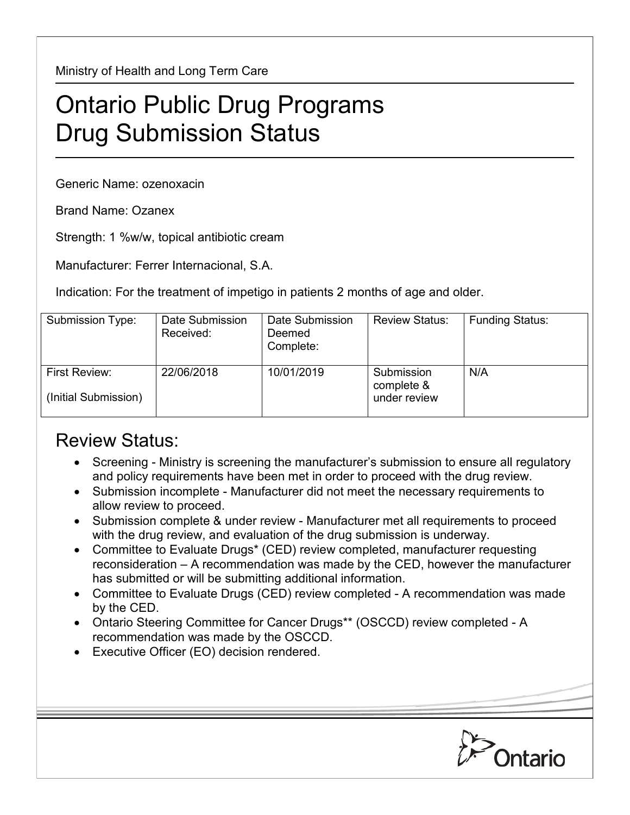Ministry of Health and Long Term Care

## Ontario Public Drug Programs Drug Submission Status

Generic Name: ozenoxacin

Brand Name: Ozanex

Strength: 1 %w/w, topical antibiotic cream

Manufacturer: Ferrer Internacional, S.A.

Indication: For the treatment of impetigo in patients 2 months of age and older.

| Submission Type:                      | Date Submission<br>Received: | Date Submission<br>Deemed<br>Complete: | <b>Review Status:</b>                    | <b>Funding Status:</b> |
|---------------------------------------|------------------------------|----------------------------------------|------------------------------------------|------------------------|
| First Review:<br>(Initial Submission) | 22/06/2018                   | 10/01/2019                             | Submission<br>complete &<br>under review | N/A                    |

## Review Status:

- Screening Ministry is screening the manufacturer's submission to ensure all regulatory and policy requirements have been met in order to proceed with the drug review.
- Submission incomplete Manufacturer did not meet the necessary requirements to allow review to proceed.
- Submission complete & under review Manufacturer met all requirements to proceed with the drug review, and evaluation of the drug submission is underway.
- Committee to Evaluate Drugs\* (CED) review completed, manufacturer requesting reconsideration – A recommendation was made by the CED, however the manufacturer has submitted or will be submitting additional information.
- Committee to Evaluate Drugs (CED) review completed A recommendation was made by the CED.
- Ontario Steering Committee for Cancer Drugs\*\* (OSCCD) review completed A recommendation was made by the OSCCD.
- Executive Officer (EO) decision rendered.